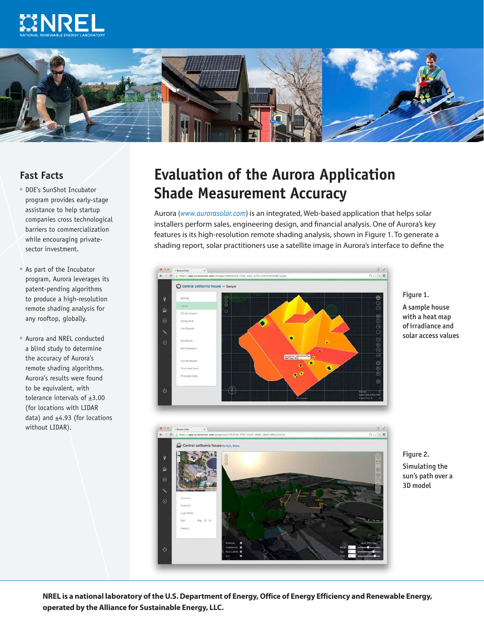



## **Fast Facts**

- ■■ DOE's SunShot Incubator program provides early-stage assistance to help startup companies cross technological barriers to commercialization while encouraging privatesector investment.
- ■■ As part of the Incubator program, Aurora leverages its patent-pending algorithms to produce a high-resolution remote shading analysis for any rooftop, globally.
- Aurora and NREL conducted a blind study to determine the accuracy of Aurora's remote shading algorithms. Aurora's results were found to be equivalent, with tolerance intervals of ±3.00 (for locations with LIDAR data) and  $\pm 4.93$  (for locations without LIDAR).

## **Evaluation of the Aurora Application Shade Measurement Accuracy**

Aurora (*[www.aurorasolar.com](http://www.aurorasolar.com)*) is an integrated, Web-based application that helps solar installers perform sales, engineering design, and financial analysis. One of Aurora's key features is its high-resolution remote shading analysis, shown in Figure 1. To generate a shading report, solar practitioners use a satellite image in Aurora's interface to define the



Figure 1. A sample house with a heat map of irradiance and solar access values



Figure 2. Simulating the sun's path over a 3D model

**NREL is a national laboratory of the U.S. Department of Energy, Office of Energy Efficiency and Renewable Energy, operated by the Alliance for Sustainable Energy, LLC.**